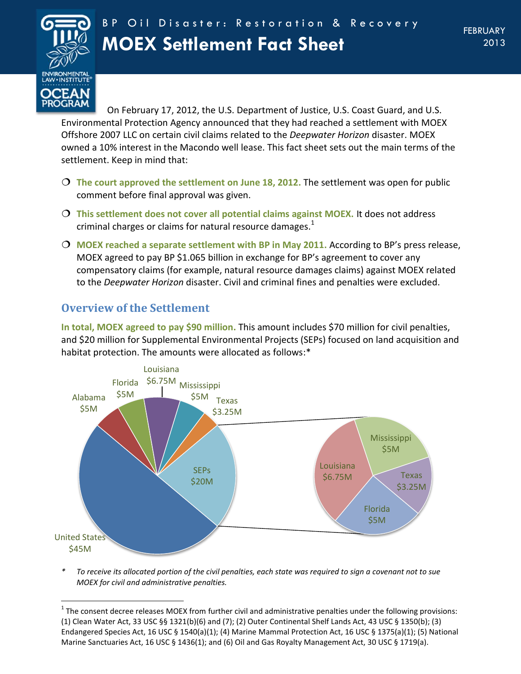

 $\overline{a}$ 

On February 17, 2012, the U.S. Department of Justice, U.S. Coast Guard, and U.S. Environmental Protection Agency announced that they had reached a settlement with MOEX Offshore 2007 LLC on certain civil claims related to the *Deepwater Horizon* disaster. MOEX owned a 10% interest in the Macondo well lease. This fact sheet sets out the main terms of the settlement. Keep in mind that:

- **The court approved the settlement on June 18, 2012.** The settlement was open for public comment before final approval was given.
- **This settlement does not cover all potential claims against MOEX.** It does not address criminal charges or claims for natural resource damages. $<sup>1</sup>$ </sup>
- **MOEX reached a separate settlement with BP in May 2011.** According to BP's press release, MOEX agreed to pay BP \$1.065 billion in exchange for BP's agreement to cover any compensatory claims (for example, natural resource damages claims) against MOEX related to the *Deepwater Horizon* disaster. Civil and criminal fines and penalties were excluded.

# **Overview of the Settlement**

**In total, MOEX agreed to pay \$90 million.** This amount includes \$70 million for civil penalties, and \$20 million for Supplemental Environmental Projects (SEPs) focused on land acquisition and habitat protection. The amounts were allocated as follows:\*



*\* To receive its allocated portion of the civil penalties, each state was required to sign a covenant not to sue MOEX for civil and administrative penalties.*

 $1$  The consent decree releases MOEX from further civil and administrative penalties under the following provisions: (1) Clean Water Act, 33 USC §§ 1321(b)(6) and (7); (2) Outer Continental Shelf Lands Act, 43 USC § 1350(b); (3) Endangered Species Act, 16 USC § 1540(a)(1); (4) Marine Mammal Protection Act, 16 USC § 1375(a)(1); (5) National Marine Sanctuaries Act, 16 USC § 1436(1); and (6) Oil and Gas Royalty Management Act, 30 USC § 1719(a).